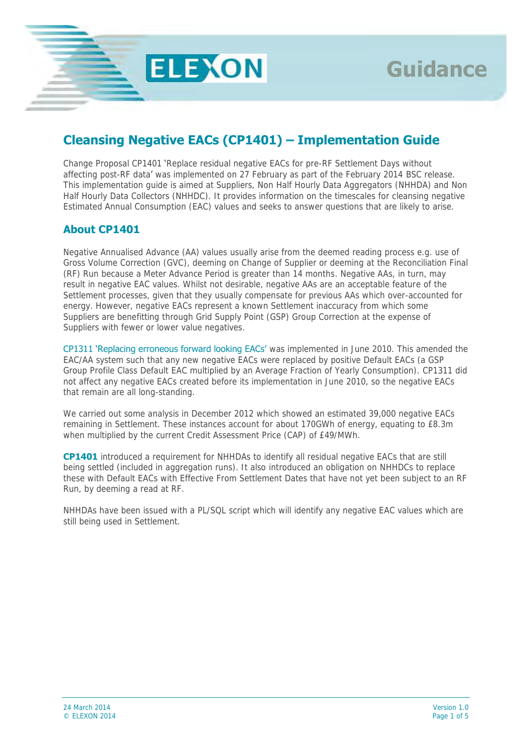

# **Cleansing Negative EACs (CP1401) – Implementation Guide**

**ELEXON** 

Change Proposal CP1401 'Replace residual negative EACs for pre-RF Settlement Days without affecting post-RF data' was implemented on 27 February as part of the February 2014 BSC release. This implementation guide is aimed at Suppliers, Non Half Hourly Data Aggregators (NHHDA) and Non Half Hourly Data Collectors (NHHDC). It provides information on the timescales for cleansing negative Estimated Annual Consumption (EAC) values and seeks to answer questions that are likely to arise.

# **About CP1401**

Negative Annualised Advance (AA) values usually arise from the deemed reading process e.g. use of Gross Volume Correction (GVC), deeming on Change of Supplier or deeming at the Reconciliation Final (RF) Run because a Meter Advance Period is greater than 14 months. Negative AAs, in turn, may result in negative EAC values. Whilst not desirable, negative AAs are an acceptable feature of the Settlement processes, given that they usually compensate for previous AAs which over-accounted for energy. However, negative EACs represent a known Settlement inaccuracy from which some Suppliers are benefitting through Grid Supply Point (GSP) Group Correction at the expense of Suppliers with fewer or lower value negatives.

CP1311 'Replacing erroneous forward looking EACs' was implemented in June 2010. This amended the EAC/AA system such that any new negative EACs were replaced by positive Default EACs (a GSP Group Profile Class Default EAC multiplied by an Average Fraction of Yearly Consumption). CP1311 did not affect any negative EACs created before its implementation in June 2010, so the negative EACs that remain are all long-standing.

We carried out some analysis in December 2012 which showed an estimated 39,000 negative EACs remaining in Settlement. These instances account for about 170GWh of energy, equating to £8.3m when multiplied by the current Credit Assessment Price (CAP) of £49/MWh.

**CP1401** introduced a requirement for NHHDAs to identify all residual negative EACs that are still being settled (included in aggregation runs). It also introduced an obligation on NHHDCs to replace these with Default EACs with Effective From Settlement Dates that have not yet been subject to an RF Run, by deeming a read at RF.

NHHDAs have been issued with a PL/SQL script which will identify any negative EAC values which are still being used in Settlement.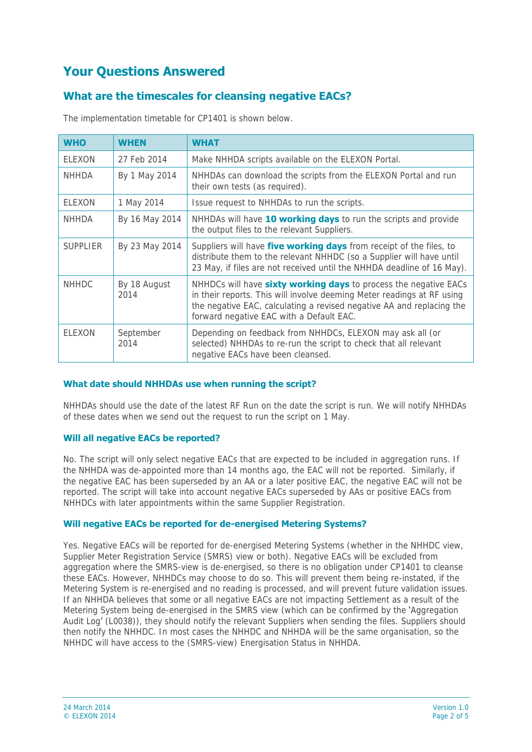# **Your Questions Answered**

# **What are the timescales for cleansing negative EACs?**

| <b>WHO</b>      | <b>WHEN</b>          | <b>WHAT</b>                                                                                                                                                                                                                                                            |
|-----------------|----------------------|------------------------------------------------------------------------------------------------------------------------------------------------------------------------------------------------------------------------------------------------------------------------|
| ELEXON          | 27 Feb 2014          | Make NHHDA scripts available on the ELEXON Portal.                                                                                                                                                                                                                     |
| NHHDA           | By 1 May 2014        | NHHDAs can download the scripts from the ELEXON Portal and run<br>their own tests (as required).                                                                                                                                                                       |
| ELEXON          | 1 May 2014           | Issue request to NHHDAs to run the scripts.                                                                                                                                                                                                                            |
| <b>NHHDA</b>    | By 16 May 2014       | NHHDAs will have 10 working days to run the scripts and provide<br>the output files to the relevant Suppliers.                                                                                                                                                         |
| <b>SUPPLIER</b> | By 23 May 2014       | Suppliers will have five working days from receipt of the files, to<br>distribute them to the relevant NHHDC (so a Supplier will have until<br>23 May, if files are not received until the NHHDA deadline of 16 May).                                                  |
| <b>NHHDC</b>    | By 18 August<br>2014 | NHHDCs will have <b>sixty working days</b> to process the negative EACs<br>in their reports. This will involve deeming Meter readings at RF using<br>the negative EAC, calculating a revised negative AA and replacing the<br>forward negative EAC with a Default EAC. |
| <b>FLEXON</b>   | September<br>2014    | Depending on feedback from NHHDCs, ELEXON may ask all (or<br>selected) NHHDAs to re-run the script to check that all relevant<br>negative EACs have been cleansed.                                                                                                     |

The implementation timetable for CP1401 is shown below.

# **What date should NHHDAs use when running the script?**

NHHDAs should use the date of the latest RF Run on the date the script is run. We will notify NHHDAs of these dates when we send out the request to run the script on 1 May.

# **Will all negative EACs be reported?**

No. The script will only select negative EACs that are expected to be included in aggregation runs. If the NHHDA was de-appointed more than 14 months ago, the EAC will not be reported. Similarly, if the negative EAC has been superseded by an AA or a later positive EAC, the negative EAC will not be reported. The script will take into account negative EACs superseded by AAs or positive EACs from NHHDCs with later appointments within the same Supplier Registration.

# **Will negative EACs be reported for de-energised Metering Systems?**

Yes. Negative EACs will be reported for de-energised Metering Systems (whether in the NHHDC view, Supplier Meter Registration Service (SMRS) view or both). Negative EACs will be excluded from aggregation where the SMRS-view is de-energised, so there is no obligation under CP1401 to cleanse these EACs. However, NHHDCs may choose to do so. This will prevent them being re-instated, if the Metering System is re-energised and no reading is processed, and will prevent future validation issues. If an NHHDA believes that some or all negative EACs are not impacting Settlement as a result of the Metering System being de-energised in the SMRS view (which can be confirmed by the 'Aggregation Audit Log' (L0038)), they should notify the relevant Suppliers when sending the files. Suppliers should then notify the NHHDC. In most cases the NHHDC and NHHDA will be the same organisation, so the NHHDC will have access to the (SMRS-view) Energisation Status in NHHDA.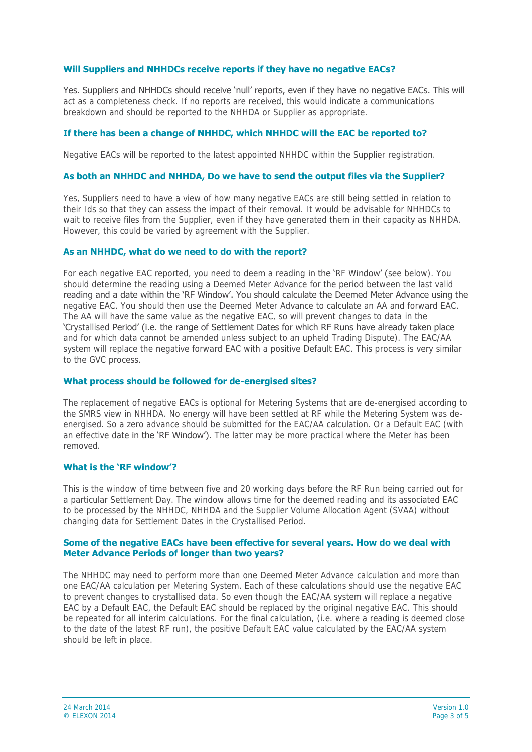## **Will Suppliers and NHHDCs receive reports if they have no negative EACs?**

Yes. Suppliers and NHHDCs should receive 'null' reports, even if they have no negative EACs. This will act as a completeness check. If no reports are received, this would indicate a communications breakdown and should be reported to the NHHDA or Supplier as appropriate.

## **If there has been a change of NHHDC, which NHHDC will the EAC be reported to?**

Negative EACs will be reported to the latest appointed NHHDC within the Supplier registration.

#### **As both an NHHDC and NHHDA, Do we have to send the output files via the Supplier?**

Yes, Suppliers need to have a view of how many negative EACs are still being settled in relation to their Ids so that they can assess the impact of their removal. It would be advisable for NHHDCs to wait to receive files from the Supplier, even if they have generated them in their capacity as NHHDA. However, this could be varied by agreement with the Supplier.

#### **As an NHHDC, what do we need to do with the report?**

For each negative EAC reported, you need to deem a reading in the 'RF Window' (see below). You should determine the reading using a Deemed Meter Advance for the period between the last valid reading and a date within the 'RF Window'. You should calculate the Deemed Meter Advance using the negative EAC. You should then use the Deemed Meter Advance to calculate an AA and forward EAC. The AA will have the same value as the negative EAC, so will prevent changes to data in the 'Crystallised Period' (i.e. the range of Settlement Dates for which RF Runs have already taken place and for which data cannot be amended unless subject to an upheld Trading Dispute). The EAC/AA system will replace the negative forward EAC with a positive Default EAC. This process is very similar to the GVC process.

#### **What process should be followed for de-energised sites?**

The replacement of negative EACs is optional for Metering Systems that are de-energised according to the SMRS view in NHHDA. No energy will have been settled at RF while the Metering System was deenergised. So a zero advance should be submitted for the EAC/AA calculation. Or a Default EAC (with an effective date in the 'RF Window'). The latter may be more practical where the Meter has been removed.

## **What is the 'RF window'?**

This is the window of time between five and 20 working days before the RF Run being carried out for a particular Settlement Day. The window allows time for the deemed reading and its associated EAC to be processed by the NHHDC, NHHDA and the Supplier Volume Allocation Agent (SVAA) without changing data for Settlement Dates in the Crystallised Period.

#### **Some of the negative EACs have been effective for several years. How do we deal with Meter Advance Periods of longer than two years?**

The NHHDC may need to perform more than one Deemed Meter Advance calculation and more than one EAC/AA calculation per Metering System. Each of these calculations should use the negative EAC to prevent changes to crystallised data. So even though the EAC/AA system will replace a negative EAC by a Default EAC, the Default EAC should be replaced by the original negative EAC. This should be repeated for all interim calculations. For the final calculation, (i.e. where a reading is deemed close to the date of the latest RF run), the positive Default EAC value calculated by the EAC/AA system should be left in place.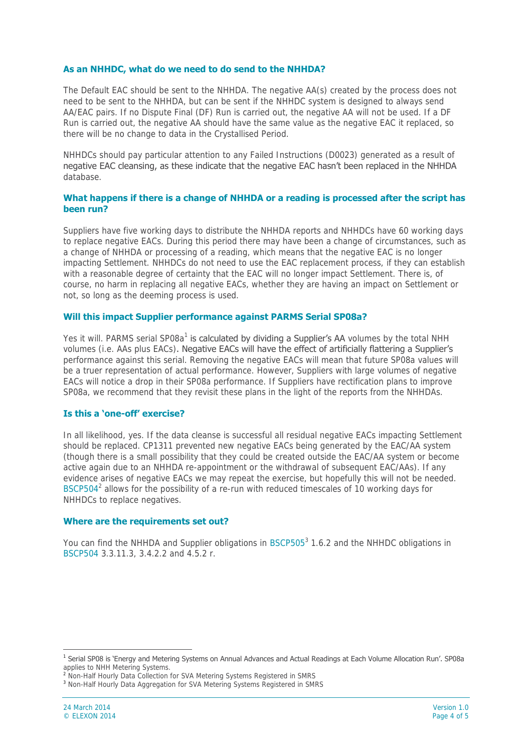### **As an NHHDC, what do we need to do send to the NHHDA?**

The Default EAC should be sent to the NHHDA. The negative AA(s) created by the process does not need to be sent to the NHHDA, but can be sent if the NHHDC system is designed to always send AA/EAC pairs. If no Dispute Final (DF) Run is carried out, the negative AA will not be used. If a DF Run is carried out, the negative AA should have the same value as the negative EAC it replaced, so there will be no change to data in the Crystallised Period.

NHHDCs should pay particular attention to any Failed Instructions (D0023) generated as a result of negative EAC cleansing, as these indicate that the negative EAC hasn't been replaced in the NHHDA database.

## **What happens if there is a change of NHHDA or a reading is processed after the script has been run?**

Suppliers have five working days to distribute the NHHDA reports and NHHDCs have 60 working days to replace negative EACs. During this period there may have been a change of circumstances, such as a change of NHHDA or processing of a reading, which means that the negative EAC is no longer impacting Settlement. NHHDCs do not need to use the EAC replacement process, if they can establish with a reasonable degree of certainty that the EAC will no longer impact Settlement. There is, of course, no harm in replacing all negative EACs, whether they are having an impact on Settlement or not, so long as the deeming process is used.

### **Will this impact Supplier performance against PARMS Serial SP08a?**

Yes it will. PARMS serial SP08a<sup>1</sup> is calculated by dividing a Supplier's AA volumes by the total NHH volumes (i.e. AAs plus EACs). Negative EACs will have the effect of artificially flattering a Supplier's performance against this serial. Removing the negative EACs will mean that future SP08a values will be a truer representation of actual performance. However, Suppliers with large volumes of negative EACs will notice a drop in their SP08a performance. If Suppliers have rectification plans to improve SP08a, we recommend that they revisit these plans in the light of the reports from the NHHDAs.

### **Is this a 'one-off' exercise?**

In all likelihood, yes. If the data cleanse is successful all residual negative EACs impacting Settlement should be replaced. CP1311 prevented new negative EACs being generated by the EAC/AA system (though there is a small possibility that they could be created outside the EAC/AA system or become active again due to an NHHDA re-appointment or the withdrawal of subsequent EAC/AAs). If any evidence arises of negative EACs we may repeat the exercise, but hopefully this will not be needed. BSCP504<sup>2</sup> allows for the possibility of a re-run with reduced timescales of 10 working days for NHHDCs to replace negatives.

### **Where are the requirements set out?**

You can find the NHHDA and Supplier obligations in BSCP505<sup>3</sup> 1.6.2 and the NHHDC obligations in BSCP504 3.3.11.3, 3.4.2.2 and 4.5.2 r.

 $\overline{a}$ 

<sup>&</sup>lt;sup>1</sup> Serial SP08 is 'Energy and Metering Systems on Annual Advances and Actual Readings at Each Volume Allocation Run'. SP08a applies to NHH Metering Systems.

<sup>&</sup>lt;sup>2</sup> Non-Half Hourly Data Collection for SVA Metering Systems Registered in SMRS

<sup>&</sup>lt;sup>3</sup> Non-Half Hourly Data Aggregation for SVA Metering Systems Registered in SMRS